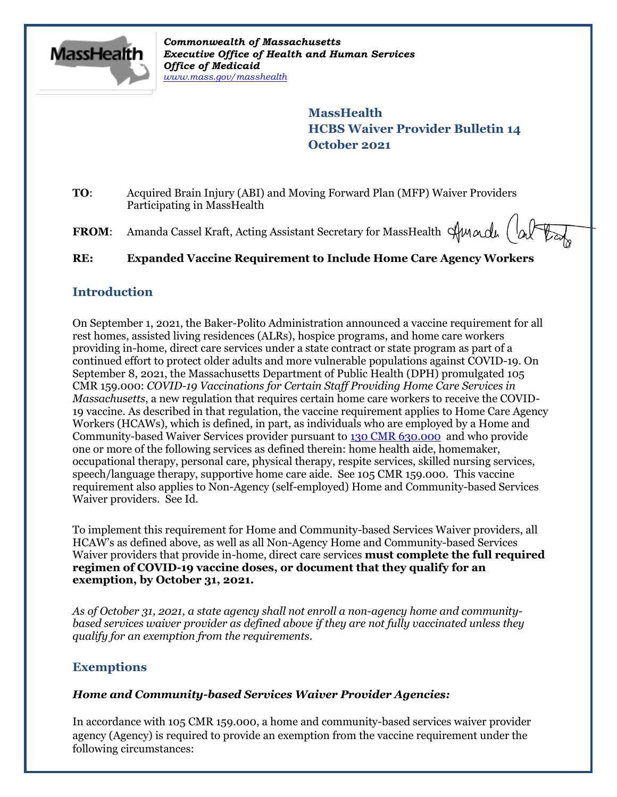

*Commonwealth of Massachusetts Executive Office of Health and Human Services Office of Medicaid [www.mass.gov/masshealth](http://www.mass.gov/masshealth)*

> **MassHealth HCBS Waiver Provider Bulletin 14 October 2021**

**TO**: Acquired Brain Injury (ABI) and Moving Forward Plan (MFP) Waiver Providers Participating in MassHealth

**FROM:** Amanda Cassel Kraft, Acting Assistant Secretary for MassHealth  $\forall$ Mandu  $\begin{pmatrix} \downarrow_{\Omega} \end{pmatrix}$ 

**RE: Expanded Vaccine Requirement to Include Home Care Agency Workers**

### **Introduction**

On September 1, 2021, the Baker-Polito Administration announced a vaccine requirement for all rest homes, assisted living residences (ALRs), hospice programs, and home care workers providing in-home, direct care services under a state contract or state program as part of a continued effort to protect older adults and more vulnerable populations against COVID-19. On September 8, 2021, the Massachusetts Department of Public Health (DPH) promulgated 105 CMR 159.000: *COVID-19 Vaccinations for Certain Staff Providing Home Care Services in Massachusetts*, a new regulation that requires certain home care workers to receive the COVID-19 vaccine. As described in that regulation, the vaccine requirement applies to Home Care Agency Workers (HCAWs), which is defined, in part, as individuals who are employed by a Home and Community-based Waiver Services provider pursuant to [130 CMR 630.000](https://www.mass.gov/regulations/130-CMR-630000-home-and-community-based-services-waiver) and who provide one or more of the following services as defined therein: home health aide, homemaker, occupational therapy, personal care, physical therapy, respite services, skilled nursing services, speech/language therapy, supportive home care aide. See 105 CMR 159.000. This vaccine requirement also applies to Non-Agency (self-employed) Home and Community-based Services Waiver providers. See Id.

To implement this requirement for Home and Community-based Services Waiver providers, all HCAW's as defined above, as well as all Non-Agency Home and Community-based Services Waiver providers that provide in-home, direct care services **must complete the full required regimen of COVID-19 vaccine doses, or document that they qualify for an exemption, by October 31, 2021.** 

*As of October 31, 2021, a state agency shall not enroll a non-agency home and communitybased services waiver provider as defined above if they are not fully vaccinated unless they qualify for an exemption from the requirements.* 

### **Exemptions**

### *Home and Community-based Services Waiver Provider Agencies:*

In accordance with 105 CMR 159.000, a home and community-based services waiver provider agency (Agency) is required to provide an exemption from the vaccine requirement under the following circumstances: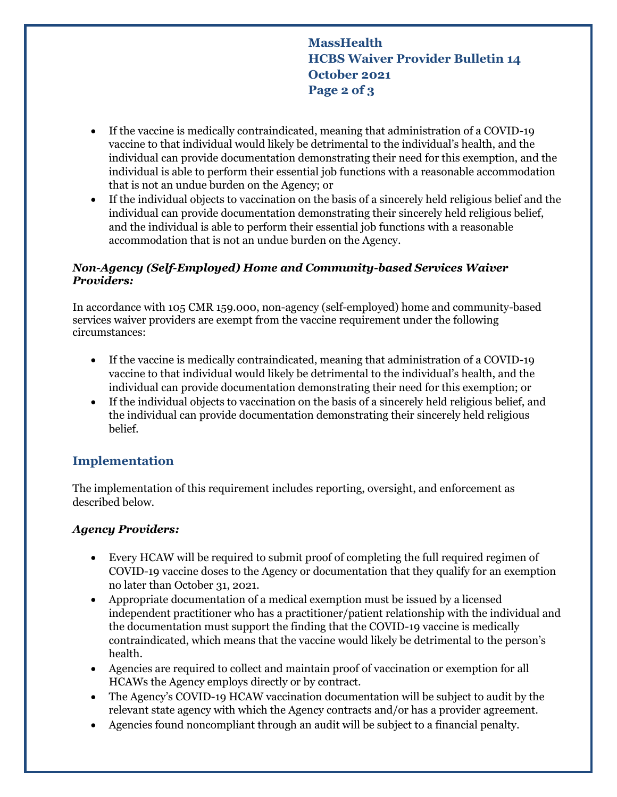**MassHealth HCBS Waiver Provider Bulletin 14 October 2021 Page 2 of 3**

- If the vaccine is medically contraindicated, meaning that administration of a COVID-19 vaccine to that individual would likely be detrimental to the individual's health, and the individual can provide documentation demonstrating their need for this exemption, and the individual is able to perform their essential job functions with a reasonable accommodation that is not an undue burden on the Agency; or
- If the individual objects to vaccination on the basis of a sincerely held religious belief and the individual can provide documentation demonstrating their sincerely held religious belief, and the individual is able to perform their essential job functions with a reasonable accommodation that is not an undue burden on the Agency.

#### *Non-Agency (Self-Employed) Home and Community-based Services Waiver Providers:*

In accordance with 105 CMR 159.000, non-agency (self-employed) home and community-based services waiver providers are exempt from the vaccine requirement under the following circumstances:

- If the vaccine is medically contraindicated, meaning that administration of a COVID-19 vaccine to that individual would likely be detrimental to the individual's health, and the individual can provide documentation demonstrating their need for this exemption; or
- If the individual objects to vaccination on the basis of a sincerely held religious belief, and the individual can provide documentation demonstrating their sincerely held religious belief.

# **Implementation**

The implementation of this requirement includes reporting, oversight, and enforcement as described below.

### *Agency Providers:*

- Every HCAW will be required to submit proof of completing the full required regimen of COVID-19 vaccine doses to the Agency or documentation that they qualify for an exemption no later than October 31, 2021.
- Appropriate documentation of a medical exemption must be issued by a licensed independent practitioner who has a practitioner/patient relationship with the individual and the documentation must support the finding that the COVID-19 vaccine is medically contraindicated, which means that the vaccine would likely be detrimental to the person's health.
- Agencies are required to collect and maintain proof of vaccination or exemption for all HCAWs the Agency employs directly or by contract.
- The Agency's COVID-19 HCAW vaccination documentation will be subject to audit by the relevant state agency with which the Agency contracts and/or has a provider agreement.
- Agencies found noncompliant through an audit will be subject to a financial penalty.